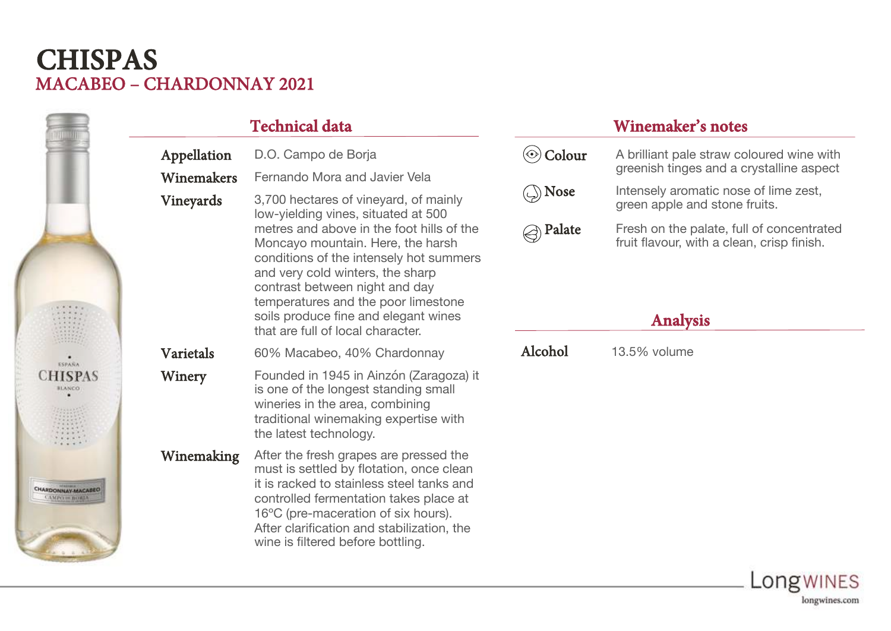## MACABEO – CHARDONNAY 2021 **CHISPAS**

|                                                   | <b>Technical data</b> |                                                                                                                                                                                                                                                                                                     | <b>Winemaker's notes</b>                              |                                                                                                            |
|---------------------------------------------------|-----------------------|-----------------------------------------------------------------------------------------------------------------------------------------------------------------------------------------------------------------------------------------------------------------------------------------------------|-------------------------------------------------------|------------------------------------------------------------------------------------------------------------|
|                                                   | Appellation           | D.O. Campo de Borja                                                                                                                                                                                                                                                                                 | $\circledcirc$ Colour                                 | A brilliant pale straw coloured wine with<br>greenish tinges and a crystalline aspect                      |
|                                                   | Winemakers            | Fernando Mora and Javier Vela                                                                                                                                                                                                                                                                       |                                                       |                                                                                                            |
|                                                   | <b>Vineyards</b>      | 3,700 hectares of vineyard, of mainly<br>low-yielding vines, situated at 500                                                                                                                                                                                                                        | $\circled{\scriptstyle\diagdown\hspace{0.15em}}$ Nose | Intensely aromatic nose of lime zest,<br>green apple and stone fruits.                                     |
|                                                   |                       | metres and above in the foot hills of the<br>Moncayo mountain. Here, the harsh<br>conditions of the intensely hot summers<br>and very cold winters, the sharp<br>contrast between night and day<br>temperatures and the poor limestone<br>soils produce fine and elegant wines                      | $\textcircled{e}$ Palate                              | Fresh on the palate, full of concentrated<br>fruit flavour, with a clean, crisp finish.<br><b>Analysis</b> |
| SHIP.                                             | Varietals             | that are full of local character.<br>60% Macabeo, 40% Chardonnay                                                                                                                                                                                                                                    | Alcohol                                               | 13.5% volume                                                                                               |
| <b>ESPAÑA</b><br><b>CHISPAS</b><br><b>BLANCO</b>  | Winery                | Founded in 1945 in Ainzón (Zaragoza) it<br>is one of the longest standing small<br>wineries in the area, combining<br>traditional winemaking expertise with<br>the latest technology.                                                                                                               |                                                       |                                                                                                            |
| <b>CHARDONNAY-MACABEO</b><br><b>AMPO IN BORDA</b> | Winemaking            | After the fresh grapes are pressed the<br>must is settled by flotation, once clean<br>it is racked to stainless steel tanks and<br>controlled fermentation takes place at<br>16°C (pre-maceration of six hours).<br>After clarification and stabilization, the<br>wine is filtered before bottling. |                                                       |                                                                                                            |

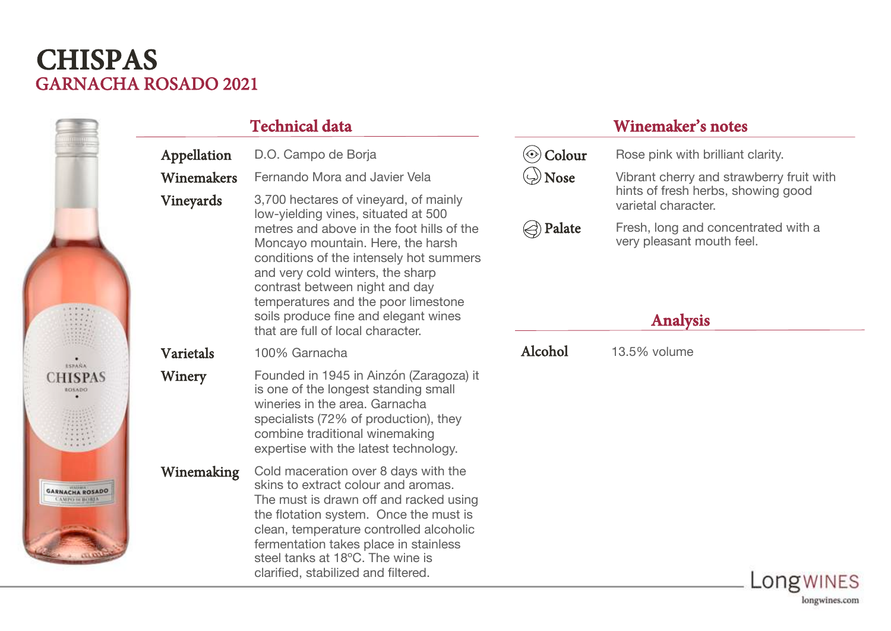## GARNACHA ROSADO 2021 **CHISPAS**

|                                                 | <b>Technical data</b> |                                                                                                                                                                                                                                                                                                                                | <b>Winemaker's notes</b>                  |                                                                                     |  |
|-------------------------------------------------|-----------------------|--------------------------------------------------------------------------------------------------------------------------------------------------------------------------------------------------------------------------------------------------------------------------------------------------------------------------------|-------------------------------------------|-------------------------------------------------------------------------------------|--|
|                                                 | Appellation           | D.O. Campo de Borja                                                                                                                                                                                                                                                                                                            | $\circledcirc$ Colour                     | Rose pink with brilliant clarity.                                                   |  |
|                                                 | Winemakers            | Fernando Mora and Javier Vela                                                                                                                                                                                                                                                                                                  | $\langle \cdot \rangle$ Nose              | Vibrant cherry and strawberry fruit with                                            |  |
|                                                 | Vineyards             | 3,700 hectares of vineyard, of mainly<br>low-yielding vines, situated at 500                                                                                                                                                                                                                                                   |                                           | hints of fresh herbs, showing good<br>varietal character.                           |  |
| 11111                                           |                       | metres and above in the foot hills of the<br>Moncayo mountain. Here, the harsh<br>conditions of the intensely hot summers<br>and very cold winters, the sharp<br>contrast between night and day<br>temperatures and the poor limestone<br>soils produce fine and elegant wines                                                 | $\textcircled{\scriptsize\diagup}$ Palate | Fresh, long and concentrated with a<br>very pleasant mouth feel.<br><b>Analysis</b> |  |
|                                                 |                       | that are full of local character.                                                                                                                                                                                                                                                                                              |                                           |                                                                                     |  |
| SRARA                                           | <b>Varietals</b>      | 100% Garnacha                                                                                                                                                                                                                                                                                                                  | Alcohol                                   | 13.5% volume                                                                        |  |
| <b>CHISPAS</b><br><b>BOSADO</b>                 | Winery                | Founded in 1945 in Ainzón (Zaragoza) it<br>is one of the longest standing small<br>wineries in the area. Garnacha<br>specialists (72% of production), they<br>combine traditional winemaking<br>expertise with the latest technology.                                                                                          |                                           |                                                                                     |  |
| <b>GARNACHA ROSADO</b><br><b>CAMPO IN BORDA</b> | Winemaking            | Cold maceration over 8 days with the<br>skins to extract colour and aromas.<br>The must is drawn off and racked using<br>the flotation system. Once the must is<br>clean, temperature controlled alcoholic<br>fermentation takes place in stainless<br>steel tanks at 18°C. The wine is<br>clarified, stabilized and filtered. |                                           | ODOWINES                                                                            |  |